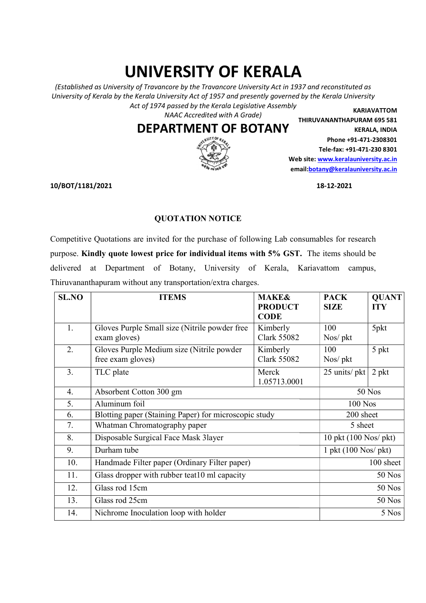## UNIVERSITY OF KERALA UNIVERSITY OF KERALA

(Established as University of Travancore by the Travancore University Act in 1937 and reconstituted as (Established as University of Travancore by the Travancore University Act in 1937 and reconstituted as University of Kerala by the Kerala University Act of 1957 and presently governed by the Kerala University Act of 1974 passed by the Kerala Legislative Assembly<br>NAAC Accredited with A Grade)

## DEPARTMENT OF BOTANY



Web site: www.keralauniversity.ac.in email: botany@keralauniversity.ac.in KARIAVATTOM THIRUVANANTHAPURAM 695 581 KERALA, INDIA Phone +91-471-2308301 Tele-fax: +91-471-230 8301

## QUOTATION NOTICE

|                         | <b>DEPARTMENT OF BOTANY</b>                                                                   |                                | THIRUVANANTHAPURAM 695 581                          | <b>KERALA, INDIA</b>       |  |
|-------------------------|-----------------------------------------------------------------------------------------------|--------------------------------|-----------------------------------------------------|----------------------------|--|
|                         |                                                                                               |                                | Phone +91-471-2308301<br>Tele-fax: +91-471-230 8301 |                            |  |
|                         |                                                                                               |                                | Web site: www.keralauniversity.ac.in                |                            |  |
|                         |                                                                                               |                                | email:botany@keralauniversity.ac.in                 |                            |  |
| <b>LO/BOT/1181/2021</b> |                                                                                               |                                | 18-12-2021                                          |                            |  |
|                         | <b>QUOTATION NOTICE</b>                                                                       |                                |                                                     |                            |  |
|                         | Competitive Quotations are invited for the purchase of following Lab consumables for research |                                |                                                     |                            |  |
|                         | burpose. Kindly quote lowest price for individual items with 5% GST. The items should be      |                                |                                                     |                            |  |
|                         | delivered at Department of Botany, University of Kerala, Kariavattom campus,                  |                                |                                                     |                            |  |
|                         | Thiruvananthapuram without any transportation/extra charges.                                  |                                |                                                     |                            |  |
| <b>SL.NO</b>            | <b>ITEMS</b>                                                                                  | <b>MAKE&amp;</b>               | <b>PACK</b>                                         |                            |  |
|                         |                                                                                               | <b>PRODUCT</b><br><b>CODE</b>  | <b>SIZE</b>                                         | <b>QUANT</b><br><b>ITY</b> |  |
| 1.                      | Gloves Purple Small size (Nitrile powder free<br>exam gloves)                                 | Kimberly<br><b>Clark 55082</b> | 100<br>Nos/ pkt                                     | 5pkt                       |  |
| 2.                      | Gloves Purple Medium size (Nitrile powder<br>free exam gloves)                                | Kimberly<br><b>Clark 55082</b> | 100<br>Nos/ pkt                                     | 5 pkt                      |  |
| 3.                      | TLC plate                                                                                     | Merck<br>1.05713.0001          | 25 units/ pkt                                       | $2$ pkt                    |  |
| 4.                      | Absorbent Cotton 300 gm                                                                       |                                |                                                     | 50 Nos                     |  |
| 5.                      | Aluminum foil                                                                                 |                                |                                                     | $100$ Nos                  |  |
| 6.                      | Blotting paper (Staining Paper) for microscopic study                                         |                                |                                                     | 200 sheet                  |  |
| 7.                      | Whatman Chromatography paper                                                                  |                                | 5 sheet                                             |                            |  |
| 8.                      | Disposable Surgical Face Mask 3layer                                                          |                                | 10 pkt (100 Nos/ pkt)                               |                            |  |
| 9.                      | Durham tube                                                                                   |                                | $1$ pkt $(100$ Nos/ pkt)                            |                            |  |
| 10.                     | Handmade Filter paper (Ordinary Filter paper)                                                 |                                | $\overline{100}$ sheet                              |                            |  |
| 11.                     | Glass dropper with rubber teat10 ml capacity                                                  |                                | 50 Nos                                              |                            |  |
| 12.                     | Glass rod 15cm                                                                                |                                |                                                     | 50 Nos                     |  |
| 13.                     | Glass rod 25cm                                                                                |                                |                                                     | <b>50 Nos</b>              |  |
| 14.                     | Nichrome Inoculation loop with holder                                                         |                                |                                                     | 5 Nos                      |  |
|                         |                                                                                               |                                |                                                     |                            |  |